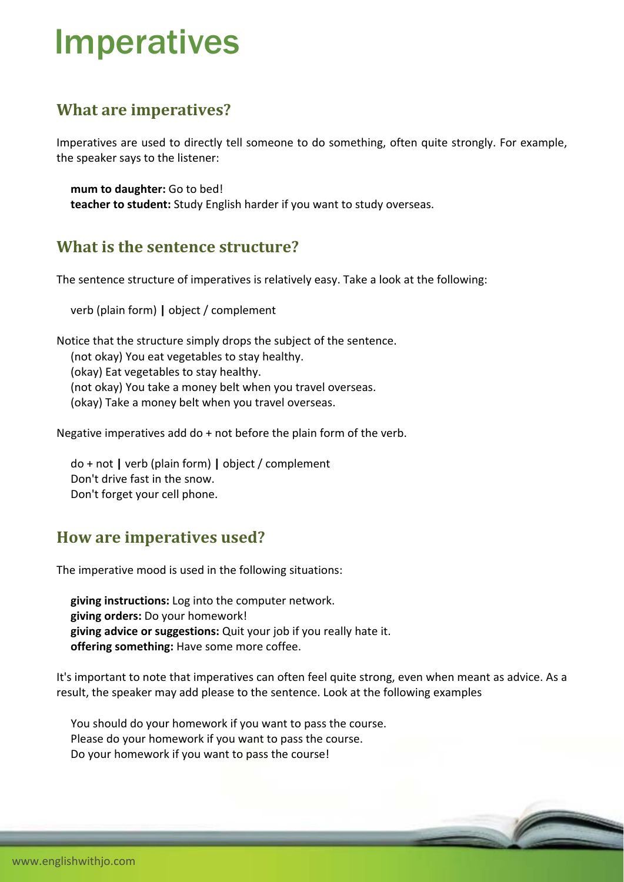# Imperatives

## **What are imperatives?**

Imperatives are used to directly tell someone to do something, often quite strongly. For example, the speaker says to the listener:

 **mum to daughter:** Go to bed! **teacher to student:** Study English harder if you want to study overseas.

### **What is the sentence structure?**

The sentence structure of imperatives is relatively easy. Take a look at the following:

verb (plain form) **|** object / complement

Notice that the structure simply drops the subject of the sentence. (not okay) You eat vegetables to stay healthy. (okay) Eat vegetables to stay healthy. (not okay) You take a money belt when you travel overseas. (okay) Take a money belt when you travel overseas.

Negative imperatives add do + not before the plain form of the verb.

 do + not **|** verb (plain form) **|** object / complement Don't drive fast in the snow. Don't forget your cell phone.

### **How are imperatives used?**

The imperative mood is used in the following situations:

 **giving instructions:** Log into the computer network. **giving orders:** Do your homework! **giving advice or suggestions:** Quit your job if you really hate it. **offering something:** Have some more coffee.

It's important to note that imperatives can often feel quite strong, even when meant as advice. As a result, the speaker may add please to the sentence. Look at the following examples

 You should do your homework if you want to pass the course. Please do your homework if you want to pass the course. Do your homework if you want to pass the course!